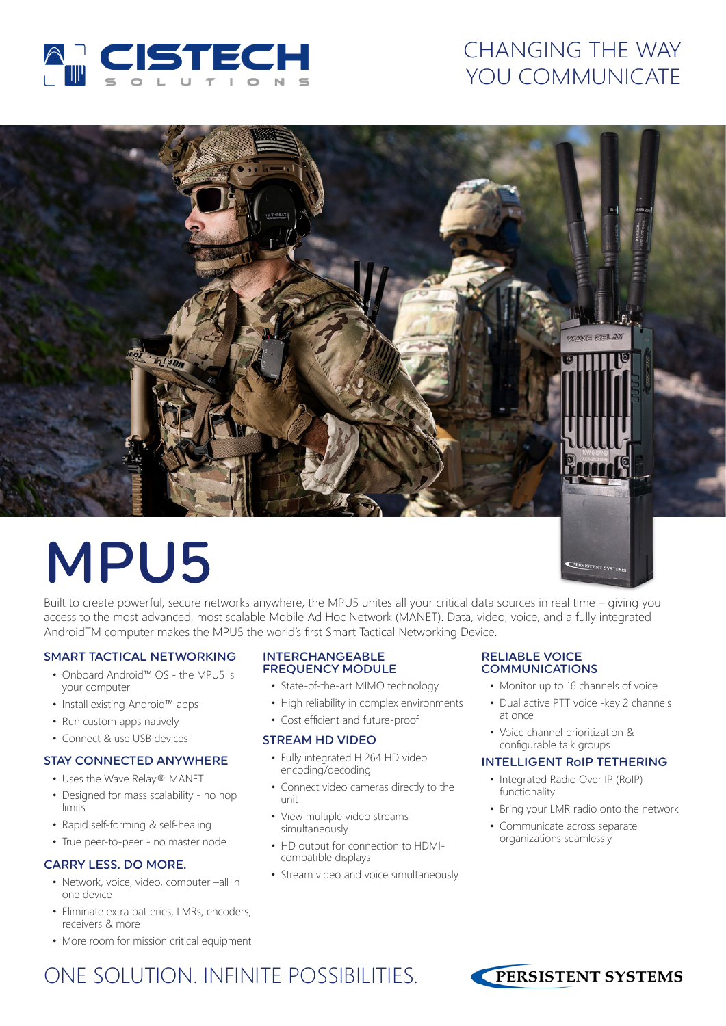

# CHANGING THE WAY YOU COMMUNICATE



# MPU5

Built to create powerful, secure networks anywhere, the MPU5 unites all your critical data sources in real time – giving you access to the most advanced, most scalable Mobile Ad Hoc Network (MANET). Data, video, voice, and a fully integrated AndroidTM computer makes the MPU5 the world's first Smart Tactical Networking Device.

#### SMART TACTICAL NETWORKING

- Onboard Android™ OS the MPU5 is your computer
- Install existing Android™ apps
- Run custom apps natively
- Connect & use USB devices

#### STAY CONNECTED ANYWHERE

- Uses the Wave Relay® MANET
- Designed for mass scalability no hop limits
- Rapid self-forming & self-healing
- True peer-to-peer no master node

#### CARRY LESS. DO MORE.

- Network, voice, video, computer –all in one device
- Eliminate extra batteries, LMRs, encoders, receivers & more
- More room for mission critical equipment

#### INTERCHANGEABLE FREQUENCY MODULE

- State-of-the-art MIMO technology
- High reliability in complex environments
- Cost efficient and future-proof

#### STREAM HD VIDEO

- Fully integrated H.264 HD video encoding/decoding
- Connect video cameras directly to the unit
- View multiple video streams simultaneously
- HD output for connection to HDMIcompatible displays
- Stream video and voice simultaneously

# RELIABLE VOICE<br>COMMUNICATIONS

- Monitor up to 16 channels of voice
- Dual active PTT voice -key 2 channels at once
- Voice channel prioritization & configurable talk groups

#### INTELLIGENT RoIP TETHERING

- Integrated Radio Over IP (RoIP) functionality
- Bring your LMR radio onto the network
- Communicate across separate organizations seamlessly

ONE SOLUTION. INFINITE POSSIBILITIES.

![](_page_0_Picture_38.jpeg)